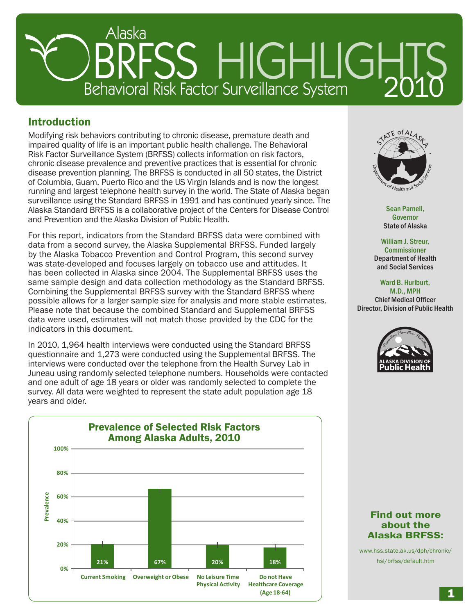# RRFSS HIGHLIGHTS Alaska

# Introduction

Modifying risk behaviors contributing to chronic disease, premature death and impaired quality of life is an important public health challenge. The Behavioral Risk Factor Surveillance System (BRFSS) collects information on risk factors, chronic disease prevalence and preventive practices that is essential for chronic disease prevention planning. The BRFSS is conducted in all 50 states, the District of Columbia, Guam, Puerto Rico and the US Virgin Islands and is now the longest running and largest telephone health survey in the world. The State of Alaska began surveillance using the Standard BRFSS in 1991 and has continued yearly since. The Alaska Standard BRFSS is a collaborative project of the Centers for Disease Control and Prevention and the Alaska Division of Public Health.

For this report, indicators from the Standard BRFSS data were combined with data from a second survey, the Alaska Supplemental BRFSS. Funded largely by the Alaska Tobacco Prevention and Control Program, this second survey was state-developed and focuses largely on tobacco use and attitudes. It has been collected in Alaska since 2004. The Supplemental BRFSS uses the same sample design and data collection methodology as the Standard BRFSS. Combining the Supplemental BRFSS survey with the Standard BRFSS where possible allows for a larger sample size for analysis and more stable estimates. Please note that because the combined Standard and Supplemental BRFSS data were used, estimates will not match those provided by the CDC for the indicators in this document.

In 2010, 1,964 health interviews were conducted using the Standard BRFSS questionnaire and 1,273 were conducted using the Supplemental BRFSS. The interviews were conducted over the telephone from the Health Survey Lab in Juneau using randomly selected telephone numbers. Households were contacted and one adult of age 18 years or older was randomly selected to complete the survey. All data were weighted to represent the state adult population age 18 years and older.





Sean Parnell, Governor State of Alaska

William J. Streur, **Commissioner** Department of Health and Social Services

Ward B. Hurlburt, M.D., MPH Chief Medical Officer Director, Division of Public Health



## Find out more about the Alaska BRFSS:

www.hss.state.ak.us/dph/chronic/ hsl/brfss/default.htm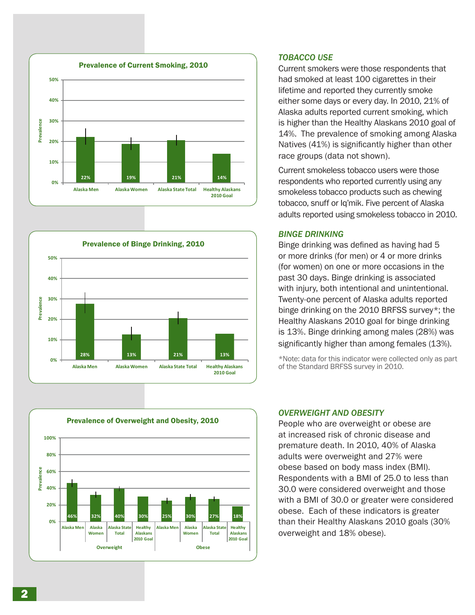





## *Tobacco Use*

Current smokers were those respondents that had smoked at least 100 cigarettes in their lifetime and reported they currently smoke either some days or every day. In 2010, 21% of Alaska adults reported current smoking, which is higher than the Healthy Alaskans 2010 goal of 14%. The prevalence of smoking among Alaska Natives (41%) is significantly higher than other race groups (data not shown).

Current smokeless tobacco users were those respondents who reported currently using any smokeless tobacco products such as chewing tobacco, snuff or Iq'mik. Five percent of Alaska adults reported using smokeless tobacco in 2010.

## *Binge Drinking*

Binge drinking was defined as having had 5 or more drinks (for men) or 4 or more drinks (for women) on one or more occasions in the past 30 days. Binge drinking is associated with injury, both intentional and unintentional. Twenty-one percent of Alaska adults reported binge drinking on the 2010 BRFSS survey\*; the Healthy Alaskans 2010 goal for binge drinking is 13%. Binge drinking among males (28%) was significantly higher than among females (13%).

\*Note: data for this indicator were collected only as part of the Standard BRFSS survey in 2010.

#### *Overweight and Obesity*

People who are overweight or obese are at increased risk of chronic disease and premature death. In 2010, 40% of Alaska adults were overweight and 27% were obese based on body mass index (BMI). Respondents with a BMI of 25.0 to less than 30.0 were considered overweight and those with a BMI of 30.0 or greater were considered obese. Each of these indicators is greater than their Healthy Alaskans 2010 goals (30% overweight and 18% obese).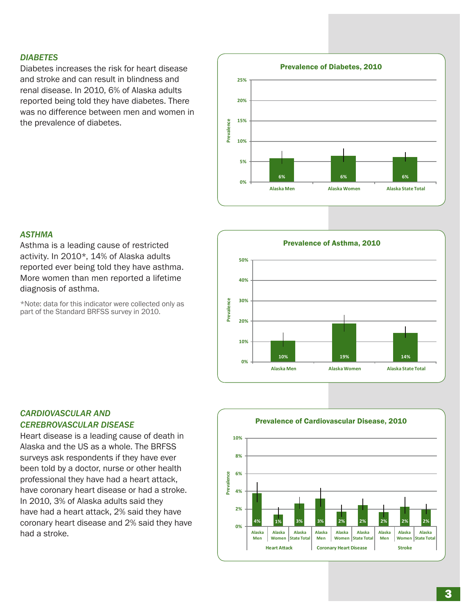#### *Diabetes*

Diabetes increases the risk for heart disease and stroke and can result in blindness and renal disease. In 2010, 6% of Alaska adults reported being told they have diabetes. There was no difference between men and women in the prevalence of diabetes.



#### *Asthma*

Asthma is a leading cause of restricted activity. In 2010\*, 14% of Alaska adults reported ever being told they have asthma. More women than men reported a lifetime diagnosis of asthma.

\*Note: data for this indicator were collected only as part of the Standard BRFSS survey in 2010.



## *Cardiovascular and Cerebrovascular Disease*

Heart disease is a leading cause of death in Alaska and the US as a whole. The BRFSS surveys ask respondents if they have ever been told by a doctor, nurse or other health professional they have had a heart attack, have coronary heart disease or had a stroke. In 2010, 3% of Alaska adults said they have had a heart attack, 2% said they have coronary heart disease and 2% said they have had a stroke.